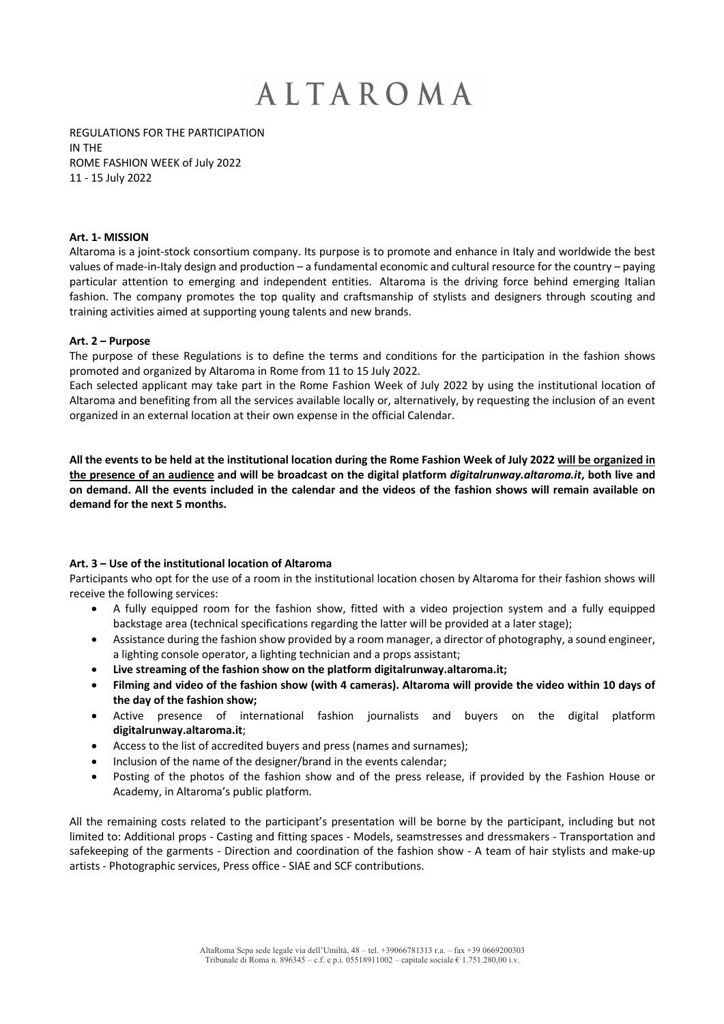REGULATIONS FOR THE PARTICIPATION IN THE ROME FASHION WEEK of July 2022 11 - 15 July 2022

### **Art. 1- MISSION**

Altaroma is a joint-stock consortium company. Its purpose is to promote and enhance in Italy and worldwide the best values of made-in-Italy design and production – a fundamental economic and cultural resource for the country – paying particular attention to emerging and independent entities. Altaroma is the driving force behind emerging Italian fashion. The company promotes the top quality and craftsmanship of stylists and designers through scouting and training activities aimed at supporting young talents and new brands.

#### **Art. 2 – Purpose**

The purpose of these Regulations is to define the terms and conditions for the participation in the fashion shows promoted and organized by Altaroma in Rome from 11 to 15 July 2022.

Each selected applicant may take part in the Rome Fashion Week of July 2022 by using the institutional location of Altaroma and benefiting from all the services available locally or, alternatively, by requesting the inclusion of an event organized in an external location at their own expense in the official Calendar.

**All the events to be held at the institutional location during the Rome Fashion Week of July 2022 will be organized in the presence of an audience and will be broadcast on the digital platform** *digitalrunway.altaroma.it***, both live and on demand. All the events included in the calendar and the videos of the fashion shows will remain available on demand for the next 5 months.**

### **Art. 3 – Use of the institutional location of Altaroma**

Participants who opt for the use of a room in the institutional location chosen by Altaroma for their fashion shows will receive the following services:

- A fully equipped room for the fashion show, fitted with a video projection system and a fully equipped backstage area (technical specifications regarding the latter will be provided at a later stage);
- Assistance during the fashion show provided by a room manager, a director of photography, a sound engineer, a lighting console operator, a lighting technician and a props assistant;
- **Live streaming of the fashion show on the platform digitalrunway.altaroma.it;**
- **Filming and video of the fashion show (with 4 cameras). Altaroma will provide the video within 10 days of the day of the fashion show;**
- Active presence of international fashion journalists and buyers on the digital platform **digitalrunway.altaroma.it**;
- Access to the list of accredited buyers and press (names and surnames);
- Inclusion of the name of the designer/brand in the events calendar;
- Posting of the photos of the fashion show and of the press release, if provided by the Fashion House or Academy, in Altaroma's public platform.

All the remaining costs related to the participant's presentation will be borne by the participant, including but not limited to: Additional props - Casting and fitting spaces - Models, seamstresses and dressmakers - Transportation and safekeeping of the garments - Direction and coordination of the fashion show - A team of hair stylists and make-up artists - Photographic services, Press office - SIAE and SCF contributions.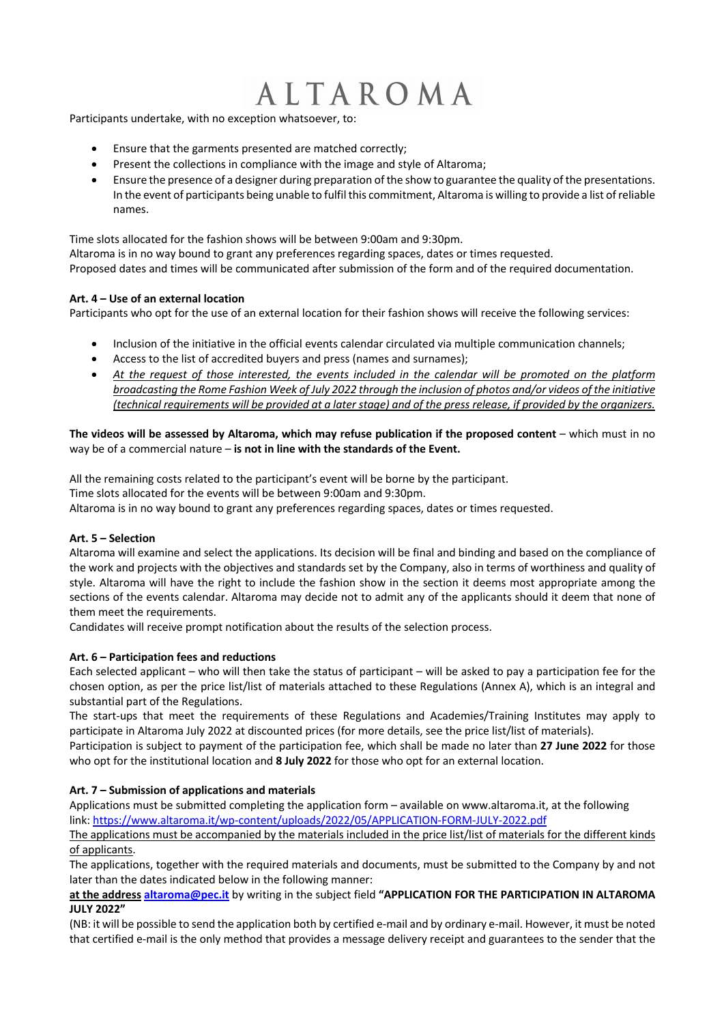Participants undertake, with no exception whatsoever, to:

- Ensure that the garments presented are matched correctly;
- Present the collections in compliance with the image and style of Altaroma;
- Ensure the presence of a designer during preparation of the show to guarantee the quality of the presentations. In the event of participants being unable to fulfil this commitment, Altaroma is willing to provide a list of reliable names.

Time slots allocated for the fashion shows will be between 9:00am and 9:30pm. Altaroma is in no way bound to grant any preferences regarding spaces, dates or times requested. Proposed dates and times will be communicated after submission of the form and of the required documentation.

## **Art. 4 – Use of an external location**

Participants who opt for the use of an external location for their fashion shows will receive the following services:

- Inclusion of the initiative in the official events calendar circulated via multiple communication channels;
- Access to the list of accredited buyers and press (names and surnames);
- *At the request of those interested, the events included in the calendar will be promoted on the platform broadcasting the Rome Fashion Week of July 2022 through the inclusion of photos and/or videos of the initiative (technical requirements will be provided at a later stage) and of the press release, if provided by the organizers.*

## **The videos will be assessed by Altaroma, which may refuse publication if the proposed content –** which must in no way be of a commercial nature – **is not in line with the standards of the Event.**

All the remaining costs related to the participant's event will be borne by the participant. Time slots allocated for the events will be between 9:00am and 9:30pm. Altaroma is in no way bound to grant any preferences regarding spaces, dates or times requested.

## **Art. 5 – Selection**

Altaroma will examine and select the applications. Its decision will be final and binding and based on the compliance of the work and projects with the objectives and standards set by the Company, also in terms of worthiness and quality of style. Altaroma will have the right to include the fashion show in the section it deems most appropriate among the sections of the events calendar. Altaroma may decide not to admit any of the applicants should it deem that none of them meet the requirements.

Candidates will receive prompt notification about the results of the selection process.

## **Art. 6 – Participation fees and reductions**

Each selected applicant – who will then take the status of participant – will be asked to pay a participation fee for the chosen option, as per the price list/list of materials attached to these Regulations (Annex A), which is an integral and substantial part of the Regulations.

The start-ups that meet the requirements of these Regulations and Academies/Training Institutes may apply to participate in Altaroma July 2022 at discounted prices (for more details, see the price list/list of materials).

Participation is subject to payment of the participation fee, which shall be made no later than **27 June 2022** for those who opt for the institutional location and **8 July 2022** for those who opt for an external location.

## **Art. 7 – Submission of applications and materials**

Applications must be submitted completing the application form – available on www.altaroma.it, at the following link: https://www.altaroma.it/wp-content/uploads/2022/05/APPLICATION-FORM-JULY-2022.pdf

The applications must be accompanied by the materials included in the price list/list of materials for the different kinds of applicants.

The applications, together with the required materials and documents, must be submitted to the Company by and not later than the dates indicated below in the following manner:

**at the address altaroma@pec.it** by writing in the subject field **"APPLICATION FOR THE PARTICIPATION IN ALTAROMA JULY 2022"**

(NB: it will be possible to send the application both by certified e-mail and by ordinary e-mail. However, it must be noted that certified e-mail is the only method that provides a message delivery receipt and guarantees to the sender that the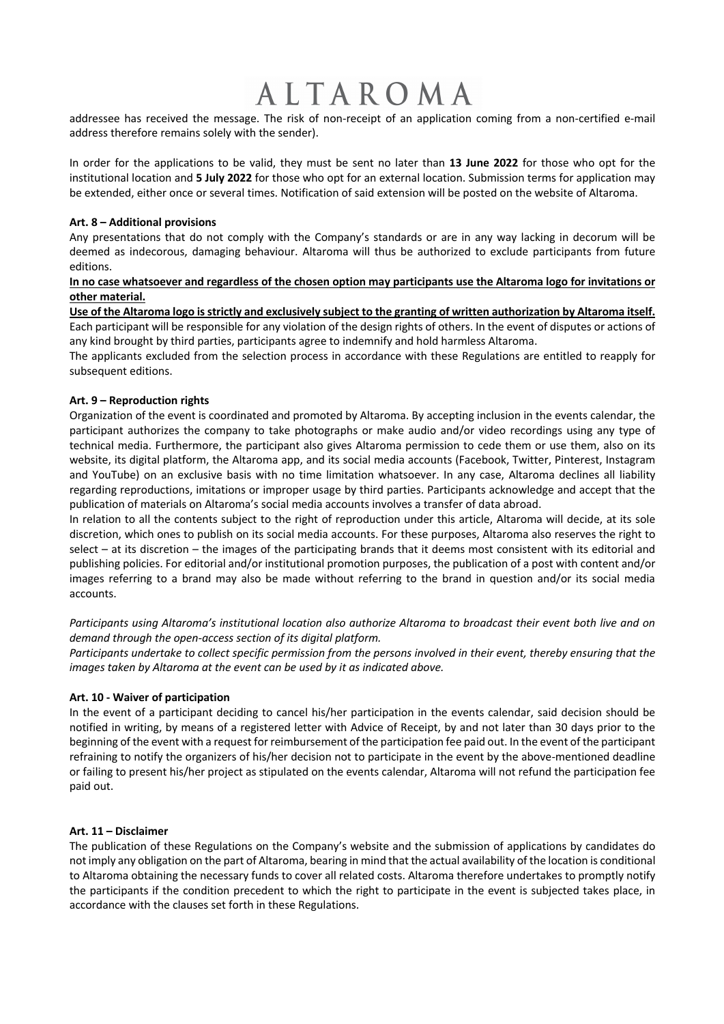addressee has received the message. The risk of non-receipt of an application coming from a non-certified e-mail address therefore remains solely with the sender).

In order for the applications to be valid, they must be sent no later than **13 June 2022** for those who opt for the institutional location and **5 July 2022** for those who opt for an external location. Submission terms for application may be extended, either once or several times. Notification of said extension will be posted on the website of Altaroma.

### **Art. 8 – Additional provisions**

Any presentations that do not comply with the Company's standards or are in any way lacking in decorum will be deemed as indecorous, damaging behaviour. Altaroma will thus be authorized to exclude participants from future editions.

## **In no case whatsoever and regardless of the chosen option may participants use the Altaroma logo for invitations or other material.**

**Use of the Altaroma logo is strictly and exclusively subject to the granting of written authorization by Altaroma itself.** Each participant will be responsible for any violation of the design rights of others. In the event of disputes or actions of any kind brought by third parties, participants agree to indemnify and hold harmless Altaroma.

The applicants excluded from the selection process in accordance with these Regulations are entitled to reapply for subsequent editions.

## **Art. 9 – Reproduction rights**

Organization of the event is coordinated and promoted by Altaroma. By accepting inclusion in the events calendar, the participant authorizes the company to take photographs or make audio and/or video recordings using any type of technical media. Furthermore, the participant also gives Altaroma permission to cede them or use them, also on its website, its digital platform, the Altaroma app, and its social media accounts (Facebook, Twitter, Pinterest, Instagram and YouTube) on an exclusive basis with no time limitation whatsoever. In any case, Altaroma declines all liability regarding reproductions, imitations or improper usage by third parties. Participants acknowledge and accept that the publication of materials on Altaroma's social media accounts involves a transfer of data abroad.

In relation to all the contents subject to the right of reproduction under this article, Altaroma will decide, at its sole discretion, which ones to publish on its social media accounts. For these purposes, Altaroma also reserves the right to select – at its discretion – the images of the participating brands that it deems most consistent with its editorial and publishing policies. For editorial and/or institutional promotion purposes, the publication of a post with content and/or images referring to a brand may also be made without referring to the brand in question and/or its social media accounts.

*Participants using Altaroma's institutional location also authorize Altaroma to broadcast their event both live and on demand through the open-access section of its digital platform.*

Participants undertake to collect specific permission from the persons involved in their event, thereby ensuring that the *images taken by Altaroma at the event can be used by it as indicated above.* 

### **Art. 10 - Waiver of participation**

In the event of a participant deciding to cancel his/her participation in the events calendar, said decision should be notified in writing, by means of a registered letter with Advice of Receipt, by and not later than 30 days prior to the beginning of the event with a request for reimbursement of the participation fee paid out. In the event of the participant refraining to notify the organizers of his/her decision not to participate in the event by the above-mentioned deadline or failing to present his/her project as stipulated on the events calendar, Altaroma will not refund the participation fee paid out.

## **Art. 11 – Disclaimer**

The publication of these Regulations on the Company's website and the submission of applications by candidates do not imply any obligation on the part of Altaroma, bearing in mind that the actual availability of the location is conditional to Altaroma obtaining the necessary funds to cover all related costs. Altaroma therefore undertakes to promptly notify the participants if the condition precedent to which the right to participate in the event is subjected takes place, in accordance with the clauses set forth in these Regulations.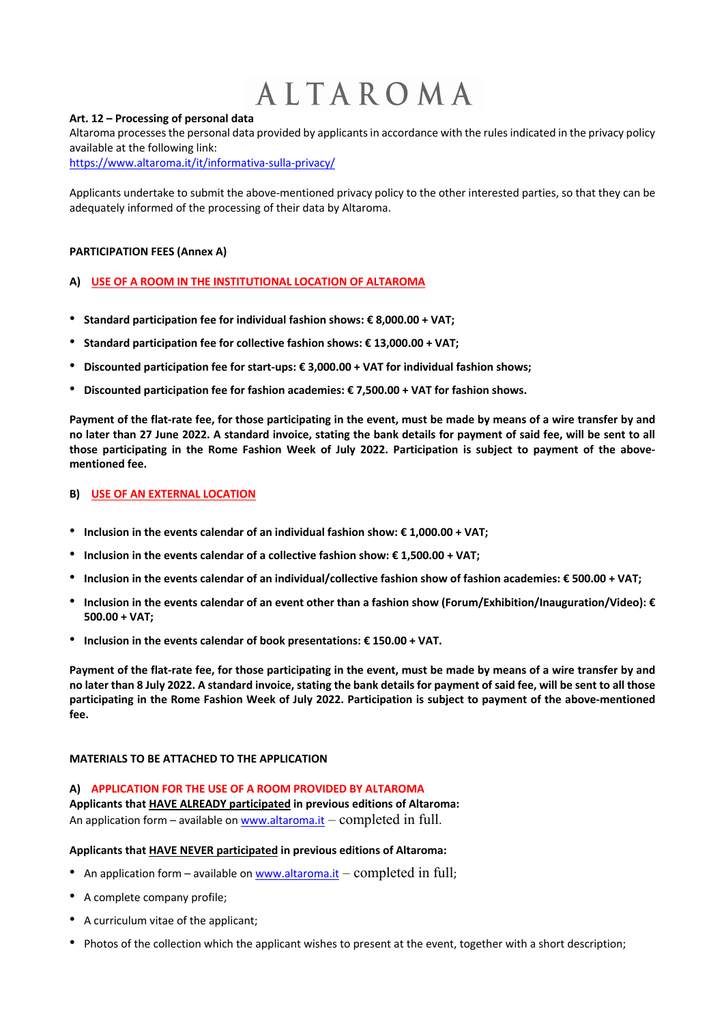### **Art. 12 – Processing of personal data**

Altaroma processes the personal data provided by applicants in accordance with the rules indicated in the privacy policy available at the following link:

https://www.altaroma.it/it/informativa-sulla-privacy/

Applicants undertake to submit the above-mentioned privacy policy to the other interested parties, so that they can be adequately informed of the processing of their data by Altaroma.

### **PARTICIPATION FEES (Annex A)**

### **A) USE OF A ROOM IN THE INSTITUTIONAL LOCATION OF ALTAROMA**

- ! **Standard participation fee for individual fashion shows: € 8,000.00 + VAT;**
- ! **Standard participation fee for collective fashion shows: € 13,000.00 + VAT;**
- ! **Discounted participation fee for start-ups: € 3,000.00 + VAT for individual fashion shows;**
- ! **Discounted participation fee for fashion academies: € 7,500.00 + VAT for fashion shows.**

**Payment of the flat-rate fee, for those participating in the event, must be made by means of a wire transfer by and no later than 27 June 2022. A standard invoice, stating the bank details for payment of said fee, will be sent to all those participating in the Rome Fashion Week of July 2022. Participation is subject to payment of the abovementioned fee.** 

#### **B) USE OF AN EXTERNAL LOCATION**

- ! **Inclusion in the events calendar of an individual fashion show: € 1,000.00 + VAT;**
- ! **Inclusion in the events calendar of a collective fashion show: € 1,500.00 + VAT;**
- ! **Inclusion in the events calendar of an individual/collective fashion show of fashion academies: € 500.00 + VAT;**
- ! **Inclusion in the events calendar of an event other than a fashion show (Forum/Exhibition/Inauguration/Video): € 500.00 + VAT;**
- ! **Inclusion in the events calendar of book presentations: € 150.00 + VAT.**

**Payment of the flat-rate fee, for those participating in the event, must be made by means of a wire transfer by and no later than 8 July 2022. A standard invoice, stating the bank details for payment of said fee, will be sent to all those participating in the Rome Fashion Week of July 2022. Participation is subject to payment of the above-mentioned fee.** 

### **MATERIALS TO BE ATTACHED TO THE APPLICATION**

#### **A) APPLICATION FOR THE USE OF A ROOM PROVIDED BY ALTAROMA**

**Applicants that HAVE ALREADY participated in previous editions of Altaroma:** An application form – available on www.altaroma.it – completed in full.

#### **Applicants that HAVE NEVER participated in previous editions of Altaroma:**

- An application form available on www.altaroma.it completed in full;
- ! A complete company profile;
- A curriculum vitae of the applicant;
- ! Photos of the collection which the applicant wishes to present at the event, together with a short description;